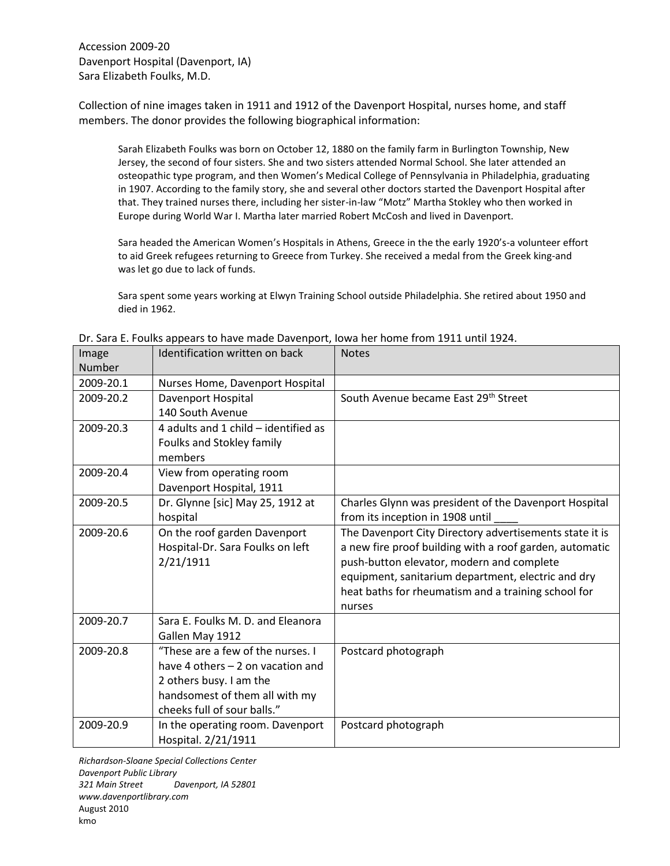Collection of nine images taken in 1911 and 1912 of the Davenport Hospital, nurses home, and staff members. The donor provides the following biographical information:

Sarah Elizabeth Foulks was born on October 12, 1880 on the family farm in Burlington Township, New Jersey, the second of four sisters. She and two sisters attended Normal School. She later attended an osteopathic type program, and then Women's Medical College of Pennsylvania in Philadelphia, graduating in 1907. According to the family story, she and several other doctors started the Davenport Hospital after that. They trained nurses there, including her sister-in-law "Motz" Martha Stokley who then worked in Europe during World War I. Martha later married Robert McCosh and lived in Davenport.

Sara headed the American Women's Hospitals in Athens, Greece in the the early 1920's-a volunteer effort to aid Greek refugees returning to Greece from Turkey. She received a medal from the Greek king-and was let go due to lack of funds.

Sara spent some years working at Elwyn Training School outside Philadelphia. She retired about 1950 and died in 1962.

| Image<br><b>Number</b> | Identification written on back                                                                                                                                      | <b>Notes</b>                                                                                                                                                                                                                                                                           |
|------------------------|---------------------------------------------------------------------------------------------------------------------------------------------------------------------|----------------------------------------------------------------------------------------------------------------------------------------------------------------------------------------------------------------------------------------------------------------------------------------|
| 2009-20.1              | Nurses Home, Davenport Hospital                                                                                                                                     |                                                                                                                                                                                                                                                                                        |
| 2009-20.2              | Davenport Hospital<br>140 South Avenue                                                                                                                              | South Avenue became East 29th Street                                                                                                                                                                                                                                                   |
| 2009-20.3              | 4 adults and 1 child - identified as<br>Foulks and Stokley family<br>members                                                                                        |                                                                                                                                                                                                                                                                                        |
| 2009-20.4              | View from operating room<br>Davenport Hospital, 1911                                                                                                                |                                                                                                                                                                                                                                                                                        |
| 2009-20.5              | Dr. Glynne [sic] May 25, 1912 at<br>hospital                                                                                                                        | Charles Glynn was president of the Davenport Hospital<br>from its inception in 1908 until                                                                                                                                                                                              |
| 2009-20.6              | On the roof garden Davenport<br>Hospital-Dr. Sara Foulks on left<br>2/21/1911                                                                                       | The Davenport City Directory advertisements state it is<br>a new fire proof building with a roof garden, automatic<br>push-button elevator, modern and complete<br>equipment, sanitarium department, electric and dry<br>heat baths for rheumatism and a training school for<br>nurses |
| 2009-20.7              | Sara E. Foulks M. D. and Eleanora<br>Gallen May 1912                                                                                                                |                                                                                                                                                                                                                                                                                        |
| 2009-20.8              | "These are a few of the nurses. I<br>have 4 others $-2$ on vacation and<br>2 others busy. I am the<br>handsomest of them all with my<br>cheeks full of sour balls." | Postcard photograph                                                                                                                                                                                                                                                                    |
| 2009-20.9              | In the operating room. Davenport<br>Hospital. 2/21/1911                                                                                                             | Postcard photograph                                                                                                                                                                                                                                                                    |

Dr. Sara E. Foulks appears to have made Davenport, Iowa her home from 1911 until 1924.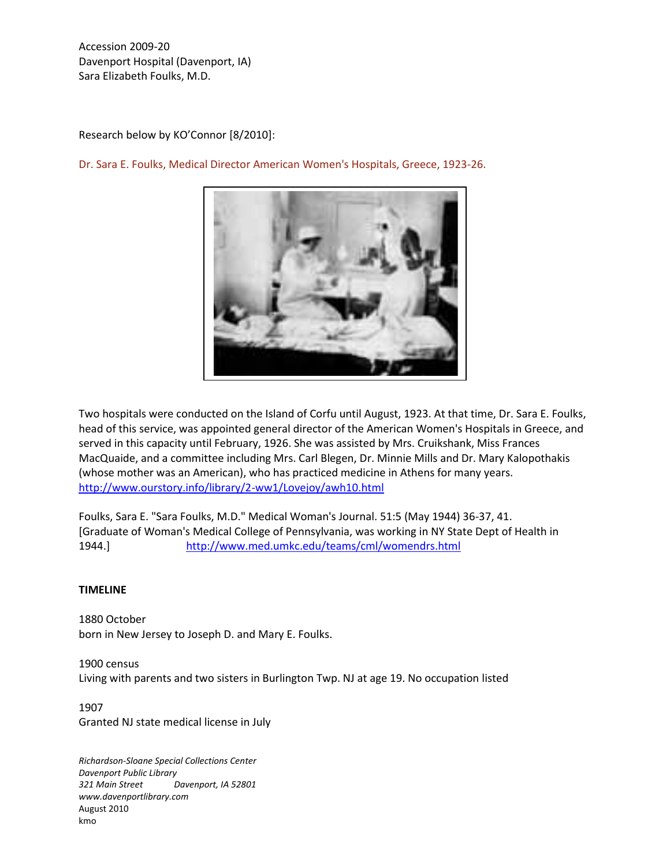Research below by KO'Connor [8/2010]:



Dr. Sara E. Foulks, Medical Director American Women's Hospitals, Greece, 1923-26.

Two hospitals were conducted on the Island of Corfu until August, 1923. At that time, Dr. Sara E. Foulks, head of this service, was appointed general director of the American Women's Hospitals in Greece, and served in this capacity until February, 1926. She was assisted by Mrs. Cruikshank, Miss Frances MacQuaide, and a committee including Mrs. Carl Blegen, Dr. Minnie Mills and Dr. Mary Kalopothakis (whose mother was an American), who has practiced medicine in Athens for many years. <http://www.ourstory.info/library/2-ww1/Lovejoy/awh10.html>

Foulks, Sara E. "Sara Foulks, M.D." Medical Woman's Journal. 51:5 (May 1944) 36-37, 41. [Graduate of Woman's Medical College of Pennsylvania, was working in NY State Dept of Health in 1944.] <http://www.med.umkc.edu/teams/cml/womendrs.html>

## **TIMELINE**

1880 October born in New Jersey to Joseph D. and Mary E. Foulks.

1900 census Living with parents and two sisters in Burlington Twp. NJ at age 19. No occupation listed

1907 Granted NJ state medical license in July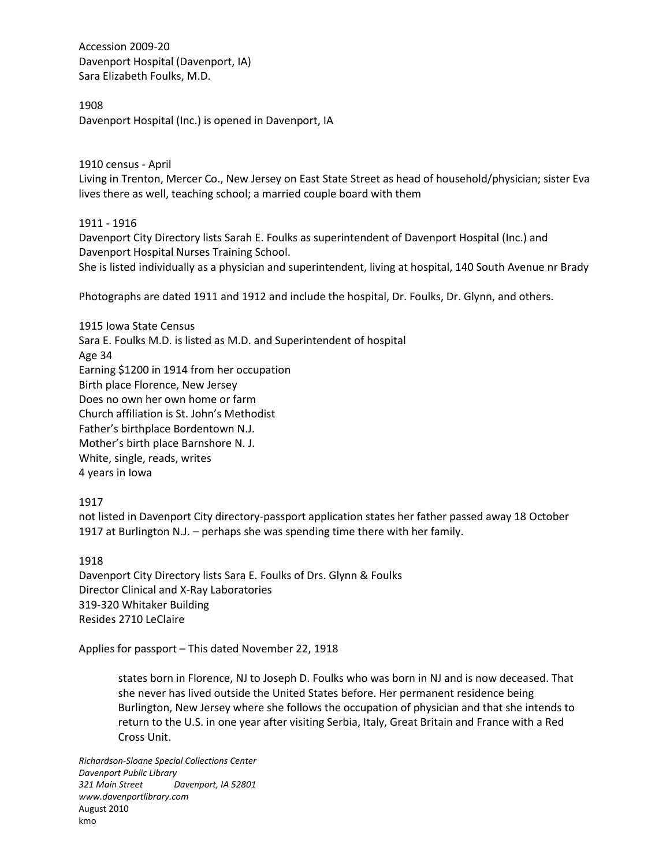1908

Davenport Hospital (Inc.) is opened in Davenport, IA

1910 census - April Living in Trenton, Mercer Co., New Jersey on East State Street as head of household/physician; sister Eva lives there as well, teaching school; a married couple board with them

1911 - 1916

Davenport City Directory lists Sarah E. Foulks as superintendent of Davenport Hospital (Inc.) and Davenport Hospital Nurses Training School.

She is listed individually as a physician and superintendent, living at hospital, 140 South Avenue nr Brady

Photographs are dated 1911 and 1912 and include the hospital, Dr. Foulks, Dr. Glynn, and others.

1915 Iowa State Census Sara E. Foulks M.D. is listed as M.D. and Superintendent of hospital Age 34 Earning \$1200 in 1914 from her occupation Birth place Florence, New Jersey Does no own her own home or farm Church affiliation is St. John's Methodist Father's birthplace Bordentown N.J. Mother's birth place Barnshore N. J. White, single, reads, writes 4 years in Iowa

1917

not listed in Davenport City directory-passport application states her father passed away 18 October 1917 at Burlington N.J. – perhaps she was spending time there with her family.

1918

Davenport City Directory lists Sara E. Foulks of Drs. Glynn & Foulks Director Clinical and X-Ray Laboratories 319-320 Whitaker Building Resides 2710 LeClaire

Applies for passport – This dated November 22, 1918

states born in Florence, NJ to Joseph D. Foulks who was born in NJ and is now deceased. That she never has lived outside the United States before. Her permanent residence being Burlington, New Jersey where she follows the occupation of physician and that she intends to return to the U.S. in one year after visiting Serbia, Italy, Great Britain and France with a Red Cross Unit.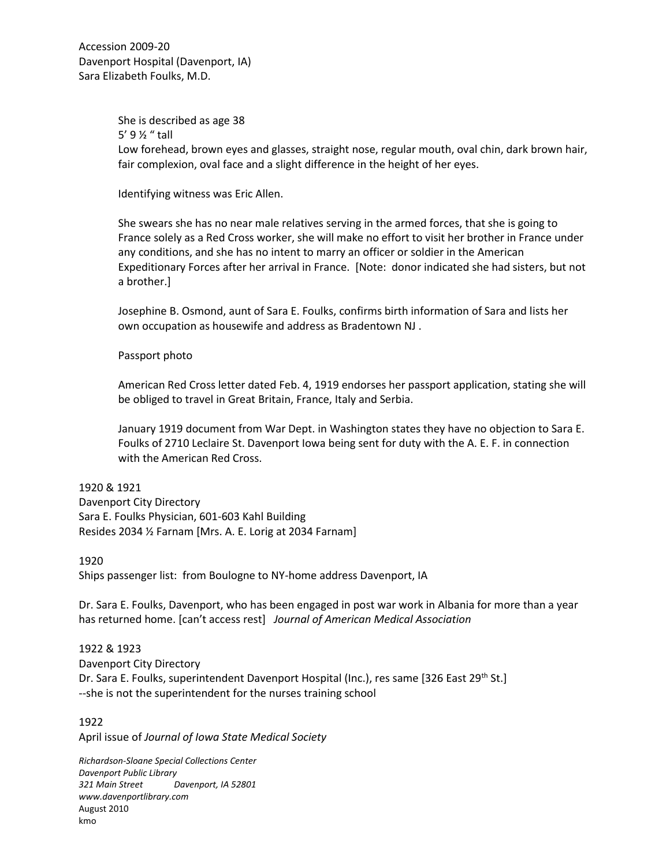> She is described as age 38 5' 9 ½ " tall Low forehead, brown eyes and glasses, straight nose, regular mouth, oval chin, dark brown hair, fair complexion, oval face and a slight difference in the height of her eyes.

Identifying witness was Eric Allen.

She swears she has no near male relatives serving in the armed forces, that she is going to France solely as a Red Cross worker, she will make no effort to visit her brother in France under any conditions, and she has no intent to marry an officer or soldier in the American Expeditionary Forces after her arrival in France. [Note: donor indicated she had sisters, but not a brother.]

Josephine B. Osmond, aunt of Sara E. Foulks, confirms birth information of Sara and lists her own occupation as housewife and address as Bradentown NJ .

### Passport photo

American Red Cross letter dated Feb. 4, 1919 endorses her passport application, stating she will be obliged to travel in Great Britain, France, Italy and Serbia.

January 1919 document from War Dept. in Washington states they have no objection to Sara E. Foulks of 2710 Leclaire St. Davenport Iowa being sent for duty with the A. E. F. in connection with the American Red Cross.

### 1920 & 1921

Davenport City Directory Sara E. Foulks Physician, 601-603 Kahl Building Resides 2034 ½ Farnam [Mrs. A. E. Lorig at 2034 Farnam]

### 1920

Ships passenger list: from Boulogne to NY-home address Davenport, IA

Dr. Sara E. Foulks, Davenport, who has been engaged in post war work in Albania for more than a year has returned home. [can't access rest] *Journal of American Medical Association*

1922 & 1923 Davenport City Directory Dr. Sara E. Foulks, superintendent Davenport Hospital (Inc.), res same [326 East 29<sup>th</sup> St.] --she is not the superintendent for the nurses training school

1922 April issue of *Journal of Iowa State Medical Society*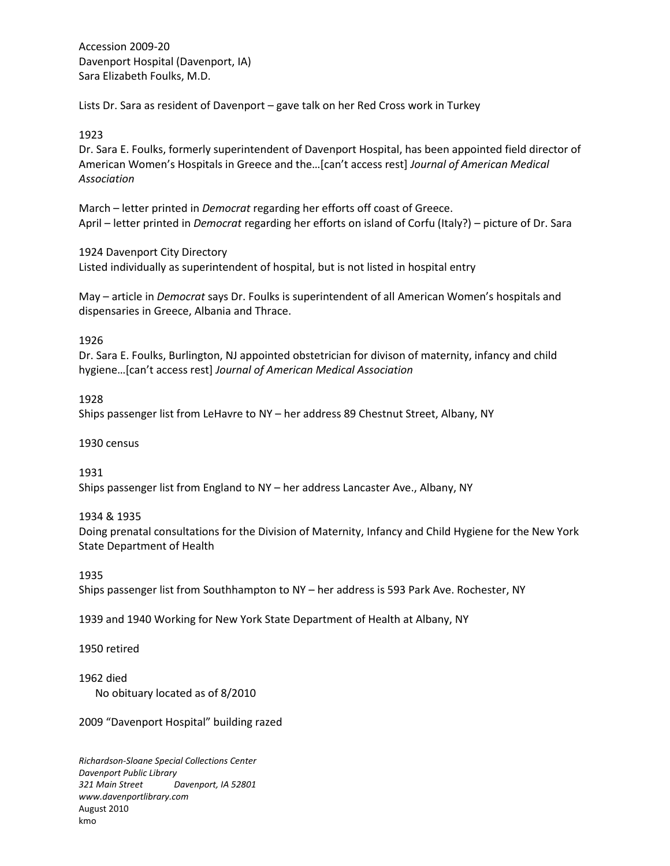Lists Dr. Sara as resident of Davenport – gave talk on her Red Cross work in Turkey

# 1923

Dr. Sara E. Foulks, formerly superintendent of Davenport Hospital, has been appointed field director of American Women's Hospitals in Greece and the…[can't access rest] *Journal of American Medical Association*

March – letter printed in *Democrat* regarding her efforts off coast of Greece. April – letter printed in *Democrat* regarding her efforts on island of Corfu (Italy?) – picture of Dr. Sara

1924 Davenport City Directory

Listed individually as superintendent of hospital, but is not listed in hospital entry

May – article in *Democrat* says Dr. Foulks is superintendent of all American Women's hospitals and dispensaries in Greece, Albania and Thrace.

## 1926

Dr. Sara E. Foulks, Burlington, NJ appointed obstetrician for divison of maternity, infancy and child hygiene…[can't access rest] *Journal of American Medical Association*

## 1928

Ships passenger list from LeHavre to NY – her address 89 Chestnut Street, Albany, NY

1930 census

1931 Ships passenger list from England to NY – her address Lancaster Ave., Albany, NY

## 1934 & 1935

Doing prenatal consultations for the Division of Maternity, Infancy and Child Hygiene for the New York State Department of Health

1935

Ships passenger list from Southhampton to NY – her address is 593 Park Ave. Rochester, NY

1939 and 1940 Working for New York State Department of Health at Albany, NY

## 1950 retired

1962 died

No obituary located as of 8/2010

2009 "Davenport Hospital" building razed